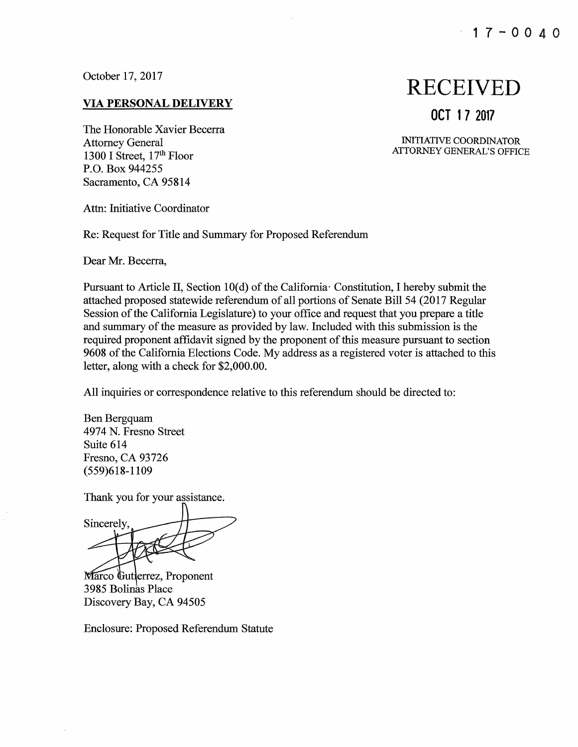October 17, 2017

#### <u>VIA PERSONAL DELIVERY</u>

The Honorable Xavier Becerra Attorney General 1300 I Street, 17<sup>th</sup> Floor P.O. Box 944255 Sacramento, CA 95814

Attn: Initiative Coordinator

Re: Request for Title and Summary for Proposed Referendum

Dear Mr. Becerra,

Pursuant to Article II, Section 10(d) of the California Constitution, I hereby submit the attached proposed statewide referendum of all portions of Senate Bill 54 (2017 Regular Session of the California Legislature) to your office and request that you prepare a title and summary of the measure as provided by law. Included with this submission is the required proponent affidavit signed by the proponent of this measure pursuant to section 9608 of the California Elections Code. My address as a registered voter is attached to this letter, along with a check for \$2,000.00.

All inquiries or correspondence relative to this referendum should be directed to:

Ben Bergquam 4974 N. Fresno Street Suite 614 Fresno, CA 93726 (559)618-1109

Thank you for your assistance.

Sincerely,

Marco Gutterrez, Proponent 3985 Bolinas Place Discovery Bay, CA 94505

Enclosure: Proposed Referendum Statute

# RECEIVED

### **OCT 17 2017**

INITIATIVE COORDINATOR ATTORNEY GENERAL'S OFFICE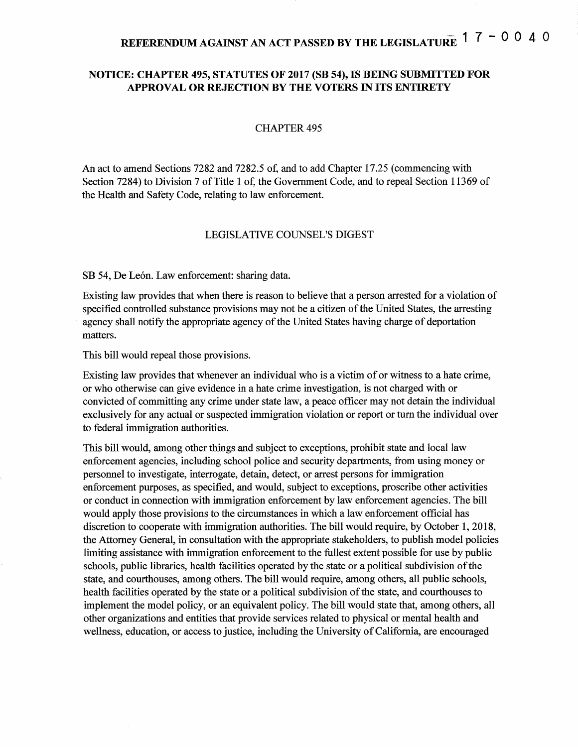## **REFERENDUMAGAINST AN ACTPASSEDBYTHELEGISLATURE 1 7** - **0 0 4** 0

#### **NOTICE: CHAPTER 495, STATUTES OF 2017 (SB 54), IS BEING SUBMITTED FOR APPROVAL OR REJECTION BY THE VOTERS** IN **ITS ENTIRETY**

#### **CHAPTER 495**

An act to amend Sections 7282 and 7282.5 of, and to add Chapter 17.25 (commencing with Section 7284) to Division 7 of Title 1 of, the Government Code, and to repeal Section 11369 of the Health and Safety Code, relating to law enforcement.

#### LEGISLATIVE COUNSEL'S DIGEST

SB 54, De León. Law enforcement: sharing data.

Existing law provides that when there is reason to believe that a person arrested for a violation of specified controlled substance provisions may not be a citizen of the United States, the arresting agency shall notify the appropriate agency of the United States having charge of deportation matters.

This bill would repeal those provisions.

Existing law provides that whenever an individual who is a victim of or witness to a hate crime, or who otherwise can give evidence in a hate crime investigation, is not charged with or convicted of committing any crime under state law, a peace officer may not detain the individual exclusively for any actual or suspected immigration violation or report or tum the individual over to federal immigration authorities.

This bill would, among other things and subject to exceptions, prohibit state and local law enforcement agencies, including school police and security departments, from using money or personnel to investigate, interrogate, detain, detect, or arrest persons for immigration enforcement purposes, as specified, and would, subject to exceptions, proscribe other activities or conduct in connection with immigration enforcement by law enforcement agencies. The bill would apply those provisions to the circumstances in which a law enforcement official has discretion to cooperate with immigration authorities. The bill would require, by October 1, 2018, the Attorney General, in consultation with the appropriate stakeholders, to publish model policies limiting assistance with immigration enforcement to the fullest extent possible for use by public schools, public libraries, health facilities operated by the state or a political subdivision ofthe state, and courthouses, among others. The bill would require, among others, all public schools, health facilities operated by the state or a political subdivision of the state, and courthouses to implement the model policy, or an equivalent policy. The bill would state that, among others, all other organizations and entities that provide services related to physical or mental health and wellness, education, or access to justice, including the University of California, are encouraged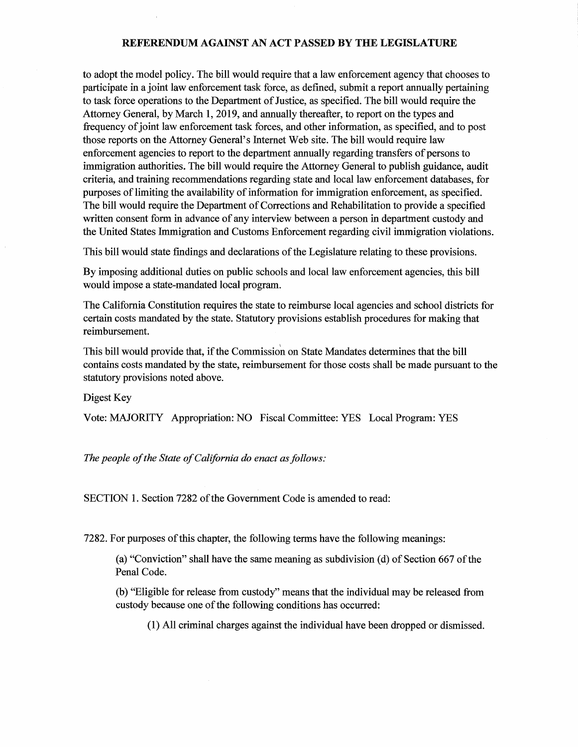to adopt the model policy. The bill would require that a law enforcement agency that chooses to participate in a joint law enforcement task force, as defined, submit a report annually pertaining to task force operations to the Department of Justice, as specified. The bill would require the Attorney General, by March 1, 2019, and annually thereafter, to report on the types and frequency of joint law enforcement task forces, and other information, as specified, and to post those reports on the Attorney General's Internet Web site. The bill would require law enforcement agencies to report to the department annually regarding transfers of persons to immigration authorities. The bill would require the Attorney General to publish guidance, audit criteria, and training recommendations regarding state and local law enforcement databases, for purposes of limiting the availability of information for immigration enforcement, as specified. The bill would require the Department of Corrections and Rehabilitation to provide a specified written consent form in advance of any interview between a person in department custody and the United States Immigration and Customs Enforcement regarding civil immigration violations.

This bill would state findings and declarations of the Legislature relating to these provisions.

By imposing additional duties on public schools and local law enforcement agencies, this bill would impose a state-mandated local program.

The California Constitution requires the state to reimburse local agencies and school districts for certain costs mandated by the state. Statutory provisions establish procedures for making that reimbursement.

This bill would provide that, if the Commission on State Mandates determines that the bill contains costs mandated by the state, reimbursement for those costs shall be made pursuant to the statutory provisions noted above.

Digest Key

Vote: MAJORITY Appropriation: NO Fiscal Committee: YES Local Program: YES

The people of the State of California do enact as follows:

SECTION 1. Section 7282 of the Government Code is amended to read:

7282. For purposes ofthis chapter, the following terms have the following meanings:

(a) "Conviction" shall have the same meaning as subdivision (d) of Section 667 ofthe Penal Code.

(b) "Eligible for release from custody" means that the individual may be released from custody because one of the following conditions has occurred:

(1) All criminal charges against the individual have been dropped or dismissed.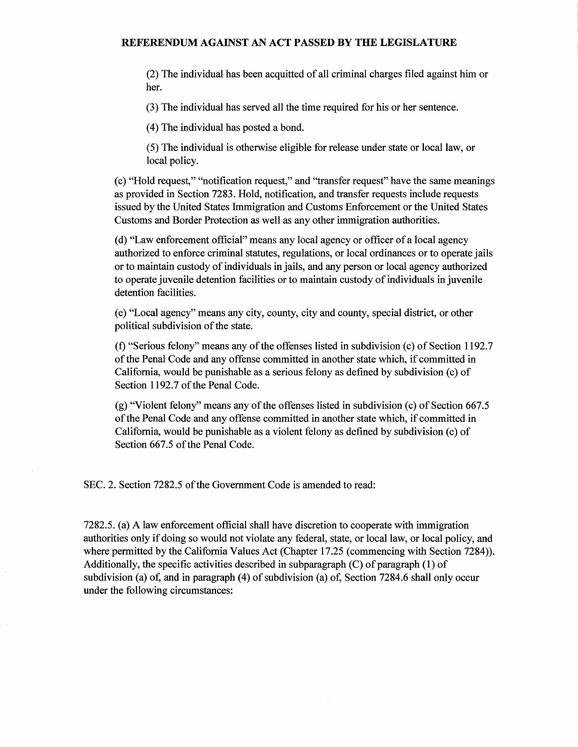(2) The individual has been acquitted of all criminal charges filed against him or her.

(3) The individual has served all the time required for his or her sentence.

(4) The individual has posted a bond.

(5) The individual is otherwise eligible for release under state or local law, or local policy.

(c) "Hold request," "notification request," and ''transfer request" have the same meanings as provided in Section 7283. Hold, notification, and transfer requests include requests issued by the United States Immigration and Customs Enforcement or the United States Customs and Border Protection as well as any other immigration authorities.

(d) "Law enforcement official" means any local agency or officer ofa local agency authorized to enforce criminal statutes, regulations, or local ordinances or to operate jails or to maintain custody of individuals in jails, and any person or local agency authorized to operate juvenile detention facilities or to maintain custody of individuals in juvenile detention facilities.

(e) "Local agency" means any city, county, city and county, special district, or other political subdivision of the state.

(f) "Serious felony" means any of the offenses listed in subdivision (c) of Section 1192.7 of the Penal Code and any offense committed in another state which, if committed in California, would be punishable as a serious felony as defined by subdivision ( c) of Section 1192.7 of the Penal Code.

 $(g)$  "Violent felony" means any of the offenses listed in subdivision (c) of Section 667.5 ofthe Penal Code and any offense committed in another state which, if committed in California, would be punishable as a violent felony as defined by subdivision ( c) of Section 667.5 of the Penal Code.

SEC. 2. Section 7282.5 of the Government Code is amended to read:

7282.5. (a) A law enforcement official shall have discretion to cooperate with immigration authorities only if doing so would not violate any federal, state, or local law, or local policy, and where permitted by the California Values Act (Chapter 17.25 (commencing with Section 7284)). Additionally, the specific activities described in subparagraph  $(C)$  of paragraph  $(1)$  of subdivision (a) of, and in paragraph  $(4)$  of subdivision (a) of, Section 7284.6 shall only occur under the following circumstances: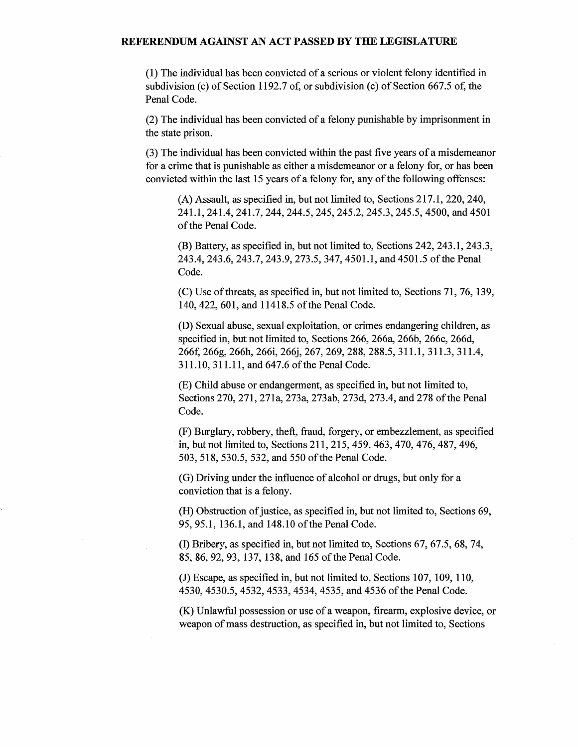(1) The individual has been convicted of a serious or violent felony identified in subdivision (c) of Section 1192.7 of, or subdivision (c) of Section 667.5 of, the Penal Code.

(2) The individual has been convicted of a felony punishable by imprisonment in the state prison.

(3) The individual has been convicted within the past five years of a misdemeanor for a crime that is punishable as either a misdemeanor or a felony for, or has been convicted within the last 15 years of a felony for, any of the following offenses:

(A) Assault, as specified in, but not limited to, Sections 217.1, 220,240, 241.1, 241.4, 241.7, 244, 244.5, 245, 245.2, 245.3, 245.5, 4500, and 4501 of the Penal Code.

(B) Battery, as specified in, but not limited to, Sections 242, 243.1, 243.3, 243.4, 243.6, 243.7, 243.9, 273.5, 347, 4501.1, and 4501.5 ofthe Penal Code.

(C) Use of threats, as specified in, but not limited to, Sections 71, 76, 139, 140, 422, 601, and 11418.5 of the Penal Code.

(D) Sexual abuse, sexual exploitation, or crimes endangering children, as specified in, but not limited to, Sections 266, 266a, 266b, 266c, 266d, 266f, 266g, 266h, 266i, 266j, 267,269,288,288.5, 311.1, 311.3, 311.4, 311.10, 311.11, and 647.6 of the Penal Code.

(E) Child abuse or endangerment, as specified in, but not limited to, Sections 270, 271, 271a, 273a, 273ab, 273d, 273.4, and 278 ofthe Penal Code.

(F) Burglary, robbery, theft, fraud, forgery, or embezzlement, as specified in, but not limited to, Sections 211,215,459, 463, 470,476,487,496, 503, 518, 530.5, 532, and 550 ofthe Penal Code.

(G) Driving under the influence of alcohol or drugs, but only for a conviction that is a felony.

(H) Obstruction of justice, as specified in, but not limited to, Sections 69, 95, 95.1, 136.1, and 148.10 of the Penal Code.

(D Bribery, as specified in, but not limited to, Sections 67, 67.5, 68, 74, 85, 86, 92, 93, 137, 138, and 165 of the Penal Code.

(J) Escape, as specified in, but not limited to, Sections 107, 109, 110, 4530, 4530.5, 4532, 4533, 4534, 4535, and 4536 ofthe Penal Code.

(K) Unlawful possession or use of a weapon, firearm, explosive device, or weapon of mass destruction, as specified in, but not limited to, Sections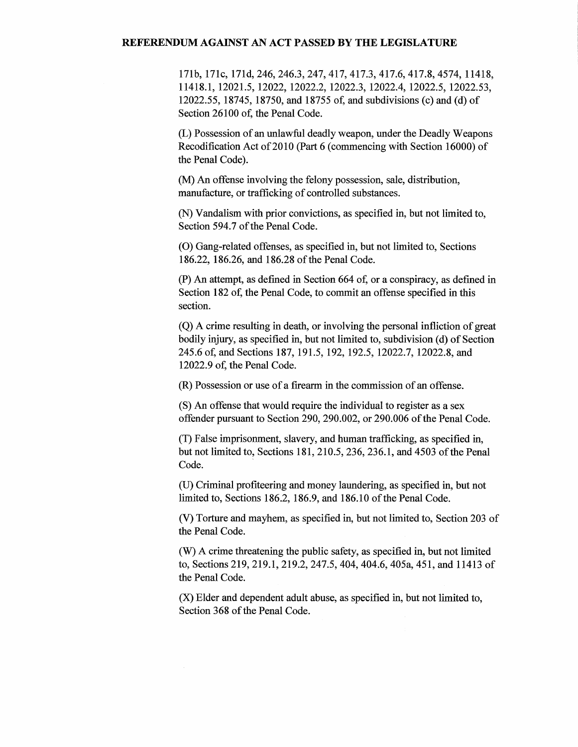171b, 171c, 171d, 246,246.3, 247,417,417.3, 417.6, 417.8, 4574, 11418, 11418.1, 12021.5, 12022, 12022.2, 12022.3, 12022.4, 12022.5, 12022.53, 12022.55, 18745, 18750, and 18755 of, and subdivisions (c) and (d) of Section 26100 of, the Penal Code.

(L) Possession of an unlawful deadly weapon, under the Deadly Weapons Recodification Act of 2010 (Part 6 (commencing with Section 16000) of the Penal Code).

(M) An offense involving the felony possession, sale, distribution, manufacture, or trafficking of controlled substances.

(N) Vandalism with prior convictions, as specified in, but not limited to, Section 594.7 of the Penal Code.

(0) Gang-related offenses, as specified in, but not limited to, Sections 186.22, 186.26, and 186.28 of the Penal Code.

(P) An attempt, as defined in Section 664 of, or a conspiracy, as defined in Section 182 of, the Penal Code, to commit an offense specified in this section.

(Q) A crime resulting in death, or involving the personal infliction of great bodily injury, as specified in, but not limited to, subdivision (d) of Section 245.6 of, and Sections 187, 191.5, 192, 192.5, 12022.7, 12022.8, and 12022.9 of, the Penal Code.

(R) Possession or use of a firearm in the commission of an offense.

(S) An offense that would require the individual to register as a sex offender pursuant to Section 290, 290.002, or 290.006 of the Penal Code.

(T) False imprisonment, slavery, and human trafficking, as specified in, but not limited to, Sections 181, 210.5, 236, 236.1, and 4503 of the Penal Code.

(U) Criminal profiteering and money laundering, as specified in, but not limited to, Sections 186.2, 186.9, and 186.10 of the Penal Code.

(V) Torture and mayhem, as specified in, but not limited to, Section 203 of the Penal Code.

(W) A crime threatening the public safety, as specified in, but not limited to, Sections 219, 219.1, 219.2, 247.5, 404,404.6, 405a, 451, and 11413 of the Penal Code.

(X) Elder and dependent adult abuse, as specified in, but not limited to, Section 368 of the Penal Code.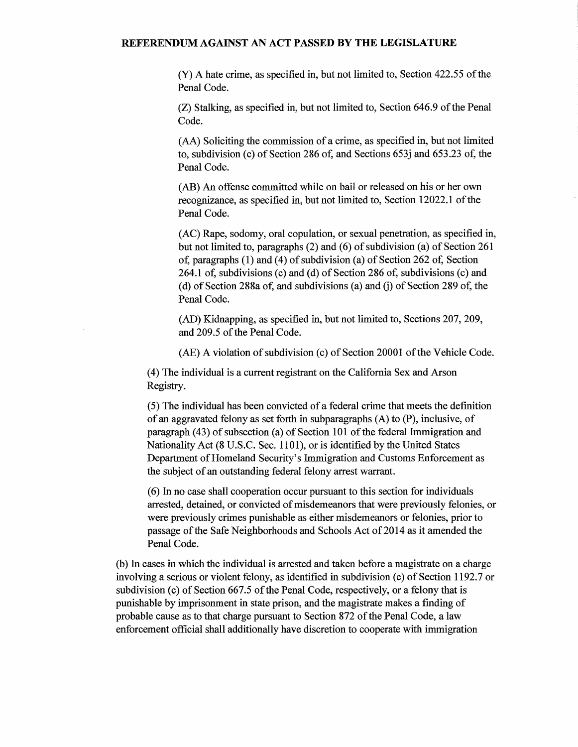(Y) A hate crime, as specified in, but not limited to, Section 422.55 of the Penal Code.

 $(Z)$  Stalking, as specified in, but not limited to, Section 646.9 of the Penal Code.

(AA) Soliciting the commission of a crime, as specified in, but not limited to, subdivision (c) of Section 286 of, and Sections 653j and 653.23 of, the Penal Code.

(AB) An offense committed while on bail or released on his or her own recognizance, as specified in, but not limited to, Section 12022.1 of the Penal Code.

(AC) Rape, sodomy, oral copulation, or sexual penetration, as specified in, but not limited to, paragraphs (2) and (6) of subdivision (a) of Section 261 of, paragraphs  $(1)$  and  $(4)$  of subdivision  $(a)$  of Section 262 of, Section 264.1 of, subdivisions (c) and (d) of Section 286 of, subdivisions (c) and (d) of Section 288a of, and subdivisions (a) and (j) of Section 289 of, the Penal Code.

(AD) Kidnapping, as specified in, but not limited to, Sections 207, 209, and 209.5 of the Penal Code.

 $(AE)$  A violation of subdivision (c) of Section 20001 of the Vehicle Code.

(4) The individual is a current registrant on the California Sex and Arson Registry.

(5) The individual has been convicted of a federal crime that meets the definition of an aggravated felony as set forth in subparagraphs (A) to (P), inclusive, of paragraph (43) of subsection (a) of Section 101 of the federal Immigration and Nationality Act (8 U.S.C. Sec. 1101), or is identified by the United States Department of Homeland Security's Immigration and Customs Enforcement as the subject of an outstanding federal felony arrest warrant.

(6) In no case shall cooperation occur pursuant to this section for individuals arrested, detained, or convicted of misdemeanors that were previously felonies, or were previously crimes punishable as either misdemeanors or felonies, prior to passage of the Safe Neighborhoods and Schools Act of 2014 as it amended the Penal Code.

(b) In cases in which the individual is arrested and taken before a magistrate on a charge involving a serious or violent felony, as identified in subdivision (c) of Section 1192.7 or subdivision (c) of Section  $667.5$  of the Penal Code, respectively, or a felony that is punishable by imprisonment in state prison, and the magistrate makes a finding of probable cause as to that charge pursuant to Section 872 of the Penal Code, a law enforcement official shall additionally have discretion to cooperate with immigration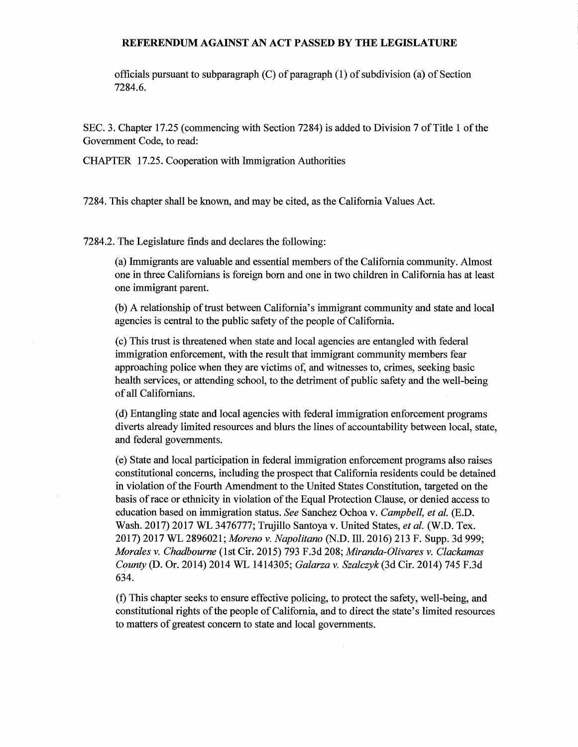officials pursuant to subparagraph  $(C)$  of paragraph  $(1)$  of subdivision (a) of Section 7284.6.

SEC. 3. Chapter 17.25 (commencing with Section 7284) is added to Division 7 of Title 1 of the Government Code, to read:

CHAPTER 17.25. Cooperation with Immigration Authorities

7284. This chapter shall be known, and may be cited, as the California Values Act.

7284.2. The Legislature finds and declares the following:

(a) Immigrants are valuable and essential members ofthe California community. Almost one in three Californians is foreign born and one in two children in California has at least one immigrant parent.

(b) A relationship of trust between California's immigrant community and state and local agencies is central to the public safety of the people of California.

(c) This trust is threatened when state and local agencies are entangled with federal immigration enforcement, with the result that immigrant community members fear approaching police when they are victims of, and witnesses to, crimes, seeking basic health services, or attending school, to the detriment of public safety and the well-being ofall Californians.

(d) Entangling state and local agencies with federal immigration enforcement programs diverts already limited resources and blurs the lines of accountability between local, state, and federal governments.

(e) State and local participation in federal immigration enforcement programs also raises constitutional concerns, including the prospect that California residents could be detained in violation ofthe Fourth Amendment to the United States Constitution, targeted on the basis of race or ethnicity in violation of the Equal Protection Clause, or denied access to education based on immigration status. *See* Sanchez Ochoa v. *Campbell, et al.* (E.D. Wash. 2017) 2017 WL 3476777; Trujillo Santoya v. United States, *et al.* (W.D. Tex. 2017) 2017 WL 2896021; *Moreno v. Napolitano* (N.D. Ill. 2016) 213 F. Supp. 3d 999; *Morales v. Chadbourne* (1st Cir. 2015) 793 F.3d 208; *Miranda-Olivares v. Clackamas County* (D. Or. 2014) 2014 WL 1414305; *Galarza v. Szalczyk* (3d Cir. 2014) 745 F.3d 634.

(f) This chapter seeks to ensure effective policing, to protect the safety, well-being, and constitutional rights of the people of California, and to direct the state's limited resources to matters of greatest concern to state and local governments.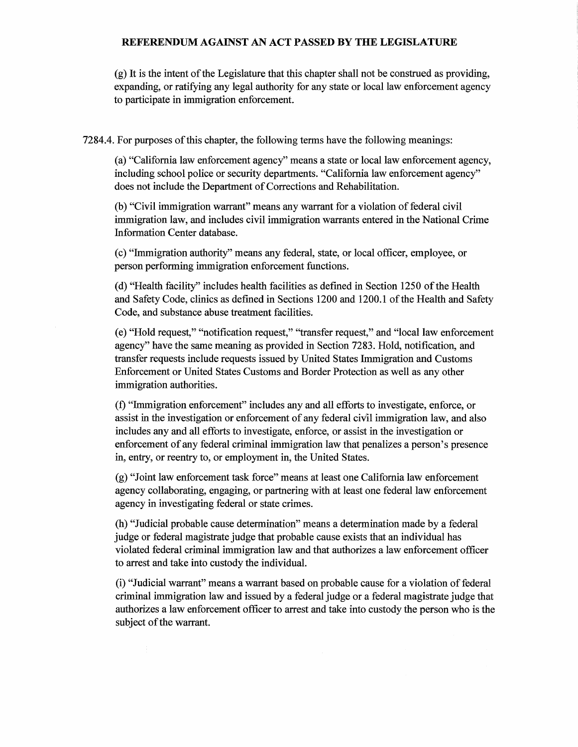$(g)$  It is the intent of the Legislature that this chapter shall not be construed as providing, expanding, or ratifying any legal authority for any state or local law enforcement agency to participate in immigration enforcement.

7284.4. For purposes ofthis chapter, the following terms have the following meanings:

(a) "California law enforcement agency" means a state or local law enforcement agency, including school police or security departments. "California law enforcement agency" does not include the Department of Corrections and Rehabilitation.

(b) "Civil immigration warrant" means any warrant for a violation of federal civil immigration law, and includes civil immigration warrants entered in the National Crime Information Center database.

(c) "Immigration authority" means any federal, state, or local officer, employee, or person performing immigration enforcement functions.

(d) "Health facility" includes health facilities as defined in Section 1250 ofthe Health and Safety Code, clinics as defined in Sections 1200 and 1200.1 ofthe Health and Safety Code, and substance abuse treatment facilities.

(e) "Hold request," "notification request," "transfer request," and "local law enforcement agency" have the same meaning as provided in Section 7283. Hold, notification, and transfer requests include requests issued by United States Immigration and Customs Enforcement or United States Customs and Border Protection as well as any other immigration authorities.

(f) "Immigration enforcement" includes any and all efforts to investigate, enforce, or assist in the investigation or enforcement of any federal civil immigration law, and also includes any and all efforts to investigate, enforce, or assist in the investigation or enforcement of any federal criminal immigration law that penalizes a person's presence in, entry, or reentry to, or employment in, the United States.

(g) "Joint law enforcement task force" means at least one California law enforcement agency collaborating, engaging, or partnering with at least one federal law enforcement agency in investigating federal or state crimes.

(h) "Judicial probable cause determination" means a determination made by a federal judge or federal magistrate judge that probable cause exists that an individual has violated federal criminal immigration law and that authorizes a law enforcement officer to arrest and take into custody the individual.

(i) "Judicial warrant" means a warrant based on probable cause for a violation offederal criminal immigration law and issued by a federal judge or a federal magistrate judge that authorizes a law enforcement officer to arrest and take into custody the person who is the subject of the warrant.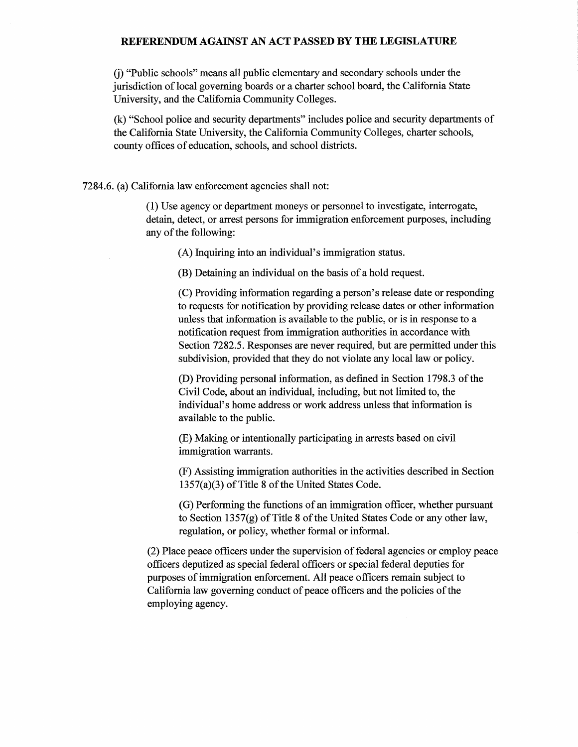*G)* "Public schools" means all public elementary and secondary schools under the jurisdiction oflocal governing boards or a charter school board, the California State University, and the California Community Colleges.

(k) "School police and security departments" includes police and security departments of the California State University, the California Community Colleges, charter schools, county offices of education, schools, and school districts.

7284.6. (a) California law enforcement agencies shall not:

(1) Use agency or department moneys or personnel to investigate, interrogate, detain, detect, or arrest persons for immigration enforcement purposes, including any of the following:

(A) Inquiring into an individual's immigration status.

(B) Detaining an individual on the basis of a hold request.

(C) Providing information regarding a person's release date or responding to requests for notification by providing release dates or other information unless that information is available to the public, or is in response to a notification request from immigration authorities in accordance with Section 7282.5. Responses are never required, but are permitted under this subdivision, provided that they do not violate any local law or policy.

(D) Providing personal information, as defined in Section 1798.3 of the Civil Code, about an individual, including, but not limited to, the individual's home address or work address unless that information is available to the public.

(E) Making or intentionally participating in arrests based on civil immigration warrants.

(F) Assisting immigration authorities in the activities described in Section  $1357(a)(3)$  of Title 8 of the United States Code.

(G) Performing the functions of an immigration officer, whether pursuant to Section 1357(g) of Title 8 of the United States Code or any other law, regulation, or policy, whether formal or informal.

(2) Place peace officers under the supervision of federal agencies or employ peace officers deputized as special federal officers or special federal deputies for purposes of immigration enforcement. All peace officers remain subject to California law governing conduct of peace officers and the policies of the employing agency.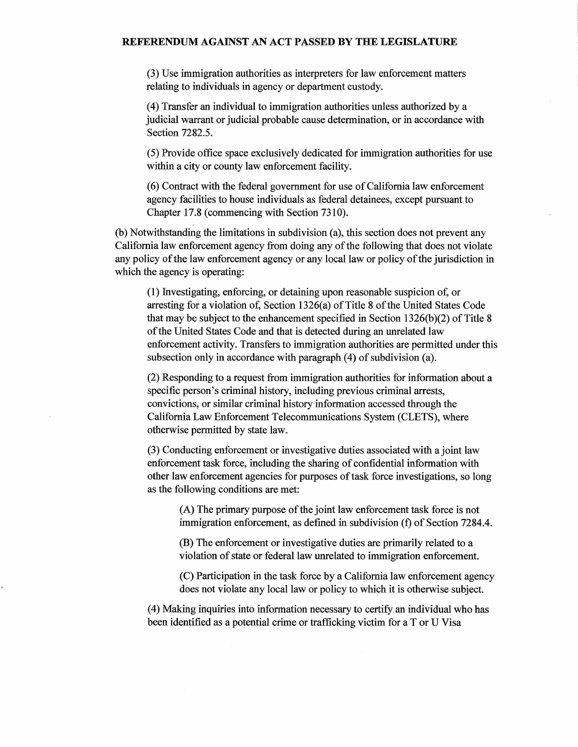(3) Use immigration authorities as interpreters for law enforcement matters relating to individuals in agency or department custody.

(4) Transfer an individual to immigration authorities unless authorized by a judicial warrant or judicial probable cause determination, or in accordance with Section 7282.5.

(5) Provide office space exclusively dedicated for immigration authorities for use within a city or county law enforcement facility.

(6) Contract with the federal government for use ofCalifornia law enforcement agency facilities to house individuals as federal detainees, except pursuant to Chapter 17.8 (commencing with Section 7310).

(b) Notwithstanding the limitations in subdivision (a), this section does not prevent any California law enforcement agency from doing any ofthe following that does not violate any policy of the law enforcement agency or any local law or policy of the jurisdiction in which the agency is operating:

(1) Investigating, enforcing, or detaining upon reasonable suspicion of, or arresting for a violation of, Section  $1326(a)$  of Title 8 of the United States Code that may be subject to the enhancement specified in Section  $1326(b)(2)$  of Title 8 of the United States Code and that is detected during an unrelated law enforcement activity. Transfers to immigration authorities are permitted under this subsection only in accordance with paragraph  $(4)$  of subdivision  $(a)$ .

(2) Responding to a request from immigration authorities for information about a specific person's criminal history, including previous criminal arrests, convictions, or similar criminal history information accessed through the California Law Enforcement Telecommunications System (CLETS), where otherwise permitted by state law.

(3) Conducting enforcement or investigative duties associated with a joint law enforcement task force, including the sharing of confidential information with other law enforcement agencies for purposes of task force investigations, so long as the following conditions are met:

(A) The primary purpose of the joint law enforcement task force is not immigration enforcement, as defined in subdivision (f) of Section 7284.4.

(B) The enforcement or investigative duties are primarily related to a violation of state or federal law unrelated to immigration enforcement.

(C) Participation in the task force by a California law enforcement agency does not violate any local law or policy to which it is otherwise subject.

(4) Making inquiries into information necessary to certify an individual who has been identified as a potential crime or trafficking victim for a T or U Visa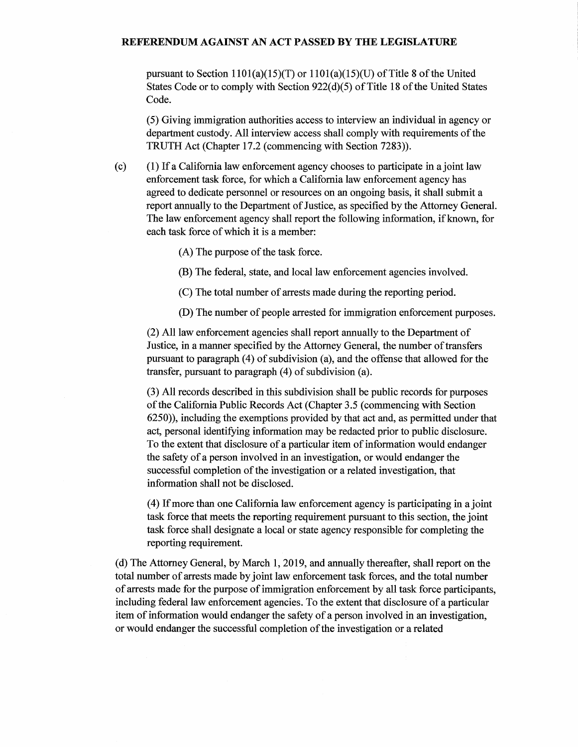pursuant to Section  $1101(a)(15)(T)$  or  $1101(a)(15)(U)$  of Title 8 of the United States Code or to comply with Section  $922(d)(5)$  of Title 18 of the United States Code.

(5) Giving immigration authorities access to interview an individual in agency or department custody. All interview access shall comply with requirements of the TRUTH Act (Chapter 17.2 (commencing with Section 7283)).

(c) ( 1) If a California law enforcement agency chooses to participate in a joint law enforcement task force, for which a California law enforcement agency has agreed to dedicate personnel or resources on an ongoing basis, it shall submit a report annually to the Department of Justice, as specified by the Attorney General. The law enforcement agency shall report the following information, if known, for each task force of which it is a member:

(A) The purpose of the task force.

- (B) The federal, state, and local law enforcement agencies involved.
- (C) The total number of arrests made during the reporting period.
- (D) The number of people arrested for immigration enforcement purposes.

(2) All law enforcement agencies shall report annually to the Department of Justice, in a manner specified by the Attorney General, the number of transfers pursuant to paragraph  $(4)$  of subdivision (a), and the offense that allowed for the transfer, pursuant to paragraph  $(4)$  of subdivision  $(a)$ .

(3) All records described in this subdivision shall be public records for purposes of the California Public Records Act (Chapter 3.5 (commencing with Section 6250)), including the exemptions provided by that act and, as permitted under that act, personal identifying information may be redacted prior to public disclosure. To the extent that disclosure of a particular item of information would endanger the safety of a person involved in an investigation, or would endanger the successful completion of the investigation or a related investigation, that information shall not be disclosed.

(4) Ifmore than one California law enforcement agency is participating in a joint task force that meets the reporting requirement pursuant to this section, the joint task force shall designate a local or state agency responsible for completing the reporting requirement.

(d) The Attorney General, by March 1, 2019, and annually thereafter, shall report on the total number of arrests made by joint law enforcement task forces, and the total number of arrests made for the purpose ofimmigration enforcement by all task force participants, including federal law enforcement agencies. To the extent that disclosure of a particular item of information would endanger the safety of a person involved in an investigation, or would endanger the successful completion of the investigation or a related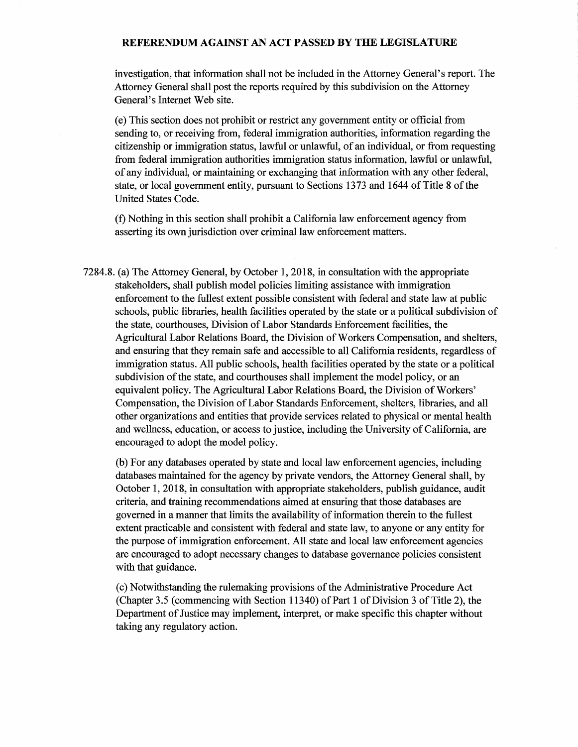investigation, that information shall not be included in the Attorney General's report. The Attorney General shall post the reports required by this subdivision on the Attorney General's Internet Web site.

(e) This section does not prohibit or restrict any government entity or official from sending to, or receiving from, federal immigration authorities, information regarding the citizenship or immigration status, lawful or unlawful, of an individual, or from requesting from federal immigration authorities immigration status information, lawful or unlawful, of any individual, or maintaining or exchanging that information with any other federal, state, or local government entity, pursuant to Sections 1373 and 1644 of Title 8 of the United States Code.

(f) Nothing in this section shall prohibit a California law enforcement agency from asserting its own jurisdiction over criminal law enforcement matters.

7284.8. (a) The Attorney General, by October 1, 2018, in consultation with the appropriate stakeholders, shall publish model policies limiting assistance with immigration enforcement to the fullest extent possible consistent with federal and state law at public schools, public libraries, health facilities operated by the state or a political subdivision of the state, courthouses, Division of Labor Standards Enforcement facilities, the Agricultural Labor Relations Board, the Division of Workers Compensation, and shelters, and ensuring that they remain safe and accessible to all California residents, regardless of immigration status. All public schools, health facilities operated by the state or a political subdivision of the state, and courthouses shall implement the model policy, or an equivalent policy. The Agricultural Labor Relations Board, the Division of Workers' Compensation, the Division ofLabor Standards Enforcement, shelters, libraries, and all other organizations and entities that provide services related to physical or mental health and wellness, education, or access to justice, including the University of California, are encouraged to adopt the model policy.

(b) For any databases operated by state and local law enforcement agencies, including databases maintained for the agency by private vendors, the Attorney General shall, by October 1, 2018, in consultation with appropriate stakeholders, publish guidance, audit criteria, and training recommendations aimed at ensuring that those databases are governed in a manner that limits the availability of information therein to the fullest extent practicable and consistent with federal and state law, to anyone or any entity for the purpose of immigration enforcement. All state and local law enforcement agencies are encouraged to adopt necessary changes to database governance policies consistent with that guidance.

(c) Notwithstanding the rulemaking provisions ofthe Administrative Procedure Act (Chapter 3.5 (commencing with Section 11340) of Part 1 of Division 3 of Title 2), the Department of Justice may implement, interpret, or make specific this chapter without taking any regulatory action.